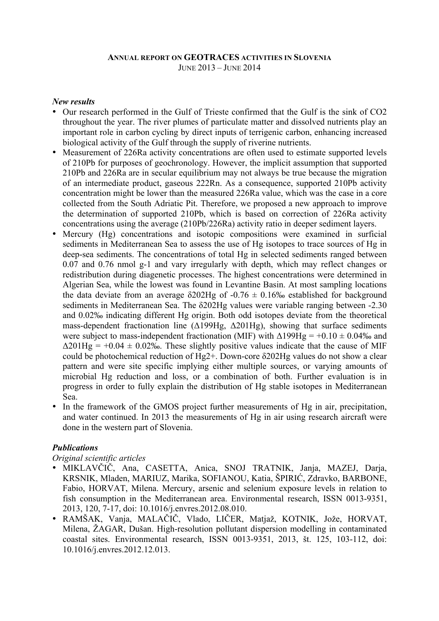## **ANNUAL REPORT ON GEOTRACES ACTIVITIES IN SLOVENIA** JUNE 2013 – JUNE 2014

## *New results*

- Our research performed in the Gulf of Trieste confirmed that the Gulf is the sink of CO2 throughout the year. The river plumes of particulate matter and dissolved nutrients play an important role in carbon cycling by direct inputs of terrigenic carbon, enhancing increased biological activity of the Gulf through the supply of riverine nutrients.
- Measurement of 226Ra activity concentrations are often used to estimate supported levels of 210Pb for purposes of geochronology. However, the implicit assumption that supported 210Pb and 226Ra are in secular equilibrium may not always be true because the migration of an intermediate product, gaseous 222Rn. As a consequence, supported 210Pb activity concentration might be lower than the measured 226Ra value, which was the case in a core collected from the South Adriatic Pit. Therefore, we proposed a new approach to improve the determination of supported 210Pb, which is based on correction of 226Ra activity concentrations using the average (210Pb/226Ra) activity ratio in deeper sediment layers.
- Mercury (Hg) concentrations and isotopic compositions were examined in surficial sediments in Mediterranean Sea to assess the use of Hg isotopes to trace sources of Hg in deep-sea sediments. The concentrations of total Hg in selected sediments ranged between 0.07 and 0.76 nmol g-1 and vary irregularly with depth, which may reflect changes or redistribution during diagenetic processes. The highest concentrations were determined in Algerian Sea, while the lowest was found in Levantine Basin. At most sampling locations the data deviate from an average  $\delta$ 202Hg of -0.76  $\pm$  0.16‰ established for background sediments in Mediterranean Sea. The δ202Hg values were variable ranging between -2.30 and 0.02‰ indicating different Hg origin. Both odd isotopes deviate from the theoretical mass-dependent fractionation line (Δ199Hg, Δ201Hg), showing that surface sediments were subject to mass-independent fractionation (MIF) with  $\Delta 199Hg = +0.10 \pm 0.04\%$  and  $\Delta 201$ Hg = +0.04  $\pm$  0.02‰. These slightly positive values indicate that the cause of MIF could be photochemical reduction of  $Hg2+$ . Down-core  $\delta$ 202Hg values do not show a clear pattern and were site specific implying either multiple sources, or varying amounts of microbial Hg reduction and loss, or a combination of both. Further evaluation is in progress in order to fully explain the distribution of Hg stable isotopes in Mediterranean Sea.
- In the framework of the GMOS project further measurements of Hg in air, precipitation, and water continued. In 2013 the measurements of Hg in air using research aircraft were done in the western part of Slovenia.

## *Publications*

*Original scientific articles*

- MIKLAVČIČ, Ana, CASETTA, Anica, SNOJ TRATNIK, Janja, MAZEJ, Darja, KRSNIK, Mladen, MARIUZ, Marika, SOFIANOU, Katia, ŠPIRIĆ, Zdravko, BARBONE, Fabio, HORVAT, Milena. Mercury, arsenic and selenium exposure levels in relation to fish consumption in the Mediterranean area. Environmental research, ISSN 0013-9351, 2013, 120, 7-17, doi: 10.1016/j.envres.2012.08.010.
- RAMŠAK, Vanja, MALAČIČ, Vlado, LIČER, Matjaž, KOTNIK, Jože, HORVAT, Milena, ŽAGAR, Dušan. High-resolution pollutant dispersion modelling in contaminated coastal sites. Environmental research, ISSN 0013-9351, 2013, št. 125, 103-112, doi: 10.1016/j.envres.2012.12.013.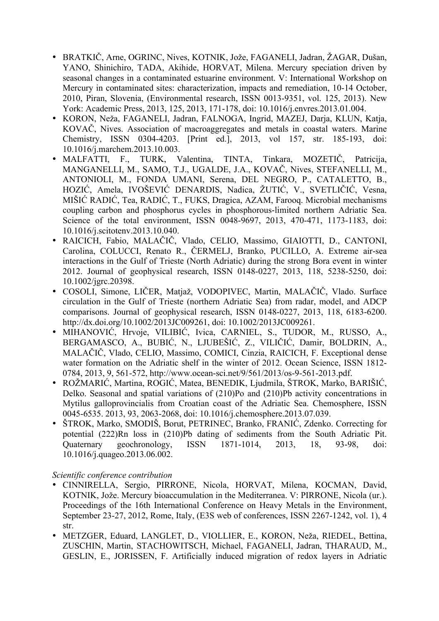- BRATKIČ, Arne, OGRINC, Nives, KOTNIK, Jože, FAGANELI, Jadran, ŽAGAR, Dušan, YANO, Shinichiro, TADA, Akihide, HORVAT, Milena. Mercury speciation driven by seasonal changes in a contaminated estuarine environment. V: International Workshop on Mercury in contaminated sites: characterization, impacts and remediation, 10-14 October, 2010, Piran, Slovenia, (Environmental research, ISSN 0013-9351, vol. 125, 2013). New York: Academic Press, 2013, 125, 2013, 171-178, doi: 10.1016/j.envres.2013.01.004.
- KORON, Neža, FAGANELI, Jadran, FALNOGA, Ingrid, MAZEJ, Darja, KLUN, Katja, KOVAČ, Nives. Association of macroaggregates and metals in coastal waters. Marine Chemistry, ISSN 0304-4203. [Print ed.], 2013, vol 157, str. 185-193, doi: 10.1016/j.marchem.2013.10.003.
- MALFATTI, F., TURK, Valentina, TINTA, Tinkara, MOZETIČ, Patricija, MANGANELLI, M., SAMO, T.J., UGALDE, J.A., KOVAČ, Nives, STEFANELLI, M., ANTONIOLI, M., FONDA UMANI, Serena, DEL NEGRO, P., CATALETTO, B., HOZIĆ, Amela, IVOŠEVIĆ DENARDIS, Nadica, ŽUTIĆ, V., SVETLIČIĆ, Vesna, MIŠIĆ RADIĆ, Tea, RADIĆ, T., FUKS, Dragica, AZAM, Farooq. Microbial mechanisms coupling carbon and phosphorus cycles in phosphorous-limited northern Adriatic Sea. Science of the total environment, ISSN 0048-9697, 2013, 470-471, 1173-1183, doi: 10.1016/j.scitotenv.2013.10.040.
- RAICICH, Fabio, MALAČIČ, Vlado, CELIO, Massimo, GIAIOTTI, D., CANTONI, Carolina, COLUCCI, Renato R., ČERMELJ, Branko, PUCILLO, A. Extreme air-sea interactions in the Gulf of Trieste (North Adriatic) during the strong Bora event in winter 2012. Journal of geophysical research, ISSN 0148-0227, 2013, 118, 5238-5250, doi: 10.1002/jgrc.20398.
- COSOLI, Simone, LIČER, Matjaž, VODOPIVEC, Martin, MALAČIČ, Vlado. Surface circulation in the Gulf of Trieste (northern Adriatic Sea) from radar, model, and ADCP comparisons. Journal of geophysical research, ISSN 0148-0227, 2013, 118, 6183-6200. http://dx.doi.org/10.1002/2013JC009261, doi: 10.1002/2013JC009261.
- MIHANOVIĆ, Hrvoje, VILIBIĆ, Ivica, CARNIEL, S., TUDOR, M., RUSSO, A., BERGAMASCO, A., BUBIĆ, N., LJUBEŠIĆ, Z., VILIČIĆ, Damir, BOLDRIN, A., MALAČIČ, Vlado, CELIO, Massimo, COMICI, Cinzia, RAICICH, F. Exceptional dense water formation on the Adriatic shelf in the winter of 2012. Ocean Science, ISSN 1812- 0784, 2013, 9, 561-572, http://www.ocean-sci.net/9/561/2013/os-9-561-2013.pdf.
- ROŽMARIĆ, Martina, ROGIĆ, Matea, BENEDIK, Ljudmila, ŠTROK, Marko, BARIŠIĆ, Delko. Seasonal and spatial variations of (210)Po and (210)Pb activity concentrations in Mytilus galloprovincialis from Croatian coast of the Adriatic Sea. Chemosphere, ISSN 0045-6535. 2013, 93, 2063-2068, doi: 10.1016/j.chemosphere.2013.07.039.
- ŠTROK, Marko, SMODIŠ, Borut, PETRINEC, Branko, FRANIĆ, Zdenko. Correcting for potential (222)Rn loss in (210)Pb dating of sediments from the South Adriatic Pit. Quaternary geochronology, ISSN 1871-1014, 2013, 18, 93-98, doi: 10.1016/j.quageo.2013.06.002.

*Scientific conference contribution*

- CINNIRELLA, Sergio, PIRRONE, Nicola, HORVAT, Milena, KOCMAN, David, KOTNIK, Jože. Mercury bioaccumulation in the Mediterranea. V: PIRRONE, Nicola (ur.). Proceedings of the 16th International Conference on Heavy Metals in the Environment, September 23-27, 2012, Rome, Italy, (E3S web of conferences, ISSN 2267-1242, vol. 1), 4 str.
- METZGER, Eduard, LANGLET, D., VIOLLIER, E., KORON, Neža, RIEDEL, Bettina, ZUSCHIN, Martin, STACHOWITSCH, Michael, FAGANELI, Jadran, THARAUD, M., GESLIN, E., JORISSEN, F. Artificially induced migration of redox layers in Adriatic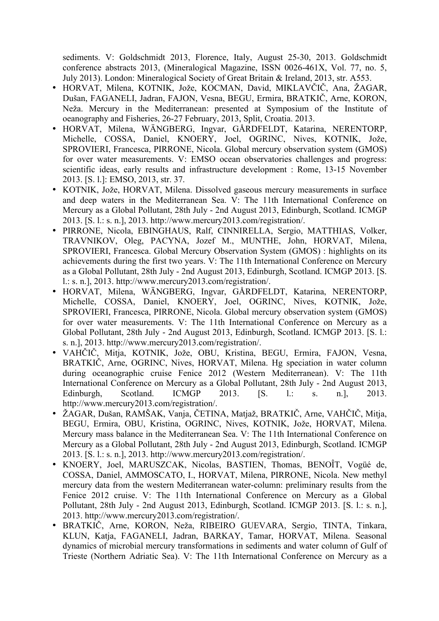sediments. V: Goldschmidt 2013, Florence, Italy, August 25-30, 2013. Goldschmidt conference abstracts 2013, (Mineralogical Magazine, ISSN 0026-461X, Vol. 77, no. 5, July 2013). London: Mineralogical Society of Great Britain & Ireland, 2013, str. A553.

- HORVAT, Milena, KOTNIK, Jože, KOCMAN, David, MIKLAVČIČ, Ana, ŽAGAR, Dušan, FAGANELI, Jadran, FAJON, Vesna, BEGU, Ermira, BRATKIČ, Arne, KORON, Neža. Mercury in the Mediterranean: presented at Symposium of the Institute of oeanography and Fisheries, 26-27 February, 2013, Split, Croatia. 2013.
- HORVAT, Milena, WÄNGBERG, Ingvar, GÅRDFELDT, Katarina, NERENTORP, Michelle, COSSA, Daniel, KNOERY, Joel, OGRINC, Nives, KOTNIK, Jože, SPROVIERI, Francesca, PIRRONE, Nicola. Global mercury observation system (GMOS) for over water measurements. V: EMSO ocean observatories challenges and progress: scientific ideas, early results and infrastructure development : Rome, 13-15 November 2013. [S. l.]: EMSO, 2013, str. 37.
- KOTNIK, Jože, HORVAT, Milena. Dissolved gaseous mercury measurements in surface and deep waters in the Mediterranean Sea. V: The 11th International Conference on Mercury as a Global Pollutant, 28th July - 2nd August 2013, Edinburgh, Scotland. ICMGP 2013. [S. l.: s. n.], 2013. http://www.mercury2013.com/registration/.
- PIRRONE, Nicola, EBINGHAUS, Ralf, CINNIRELLA, Sergio, MATTHIAS, Volker, TRAVNIKOV, Oleg, PACYNA, Jozef M., MUNTHE, John, HORVAT, Milena, SPROVIERI, Francesca. Global Mercury Observation System (GMOS) : highlights on its achievements during the first two years. V: The 11th International Conference on Mercury as a Global Pollutant, 28th July - 2nd August 2013, Edinburgh, Scotland. ICMGP 2013. [S. l.: s. n.], 2013. http://www.mercury2013.com/registration/.
- HORVAT, Milena, WÄNGBERG, Ingvar, GÅRDFELDT, Katarina, NERENTORP, Michelle, COSSA, Daniel, KNOERY, Joel, OGRINC, Nives, KOTNIK, Jože, SPROVIERI, Francesca, PIRRONE, Nicola. Global mercury observation system (GMOS) for over water measurements. V: The 11th International Conference on Mercury as a Global Pollutant, 28th July - 2nd August 2013, Edinburgh, Scotland. ICMGP 2013. [S. l.: s. n.], 2013. http://www.mercury2013.com/registration/.
- VAHČIČ, Mitja, KOTNIK, Jože, OBU, Kristina, BEGU, Ermira, FAJON, Vesna, BRATKIČ, Arne, OGRINC, Nives, HORVAT, Milena. Hg speciation in water column during oceanographic cruise Fenice 2012 (Western Mediterranean). V: The 11th International Conference on Mercury as a Global Pollutant, 28th July - 2nd August 2013, Edinburgh, Scotland. ICMGP 2013. [S. l.: s. n.], 2013. http://www.mercury2013.com/registration/.
- ŽAGAR, Dušan, RAMŠAK, Vanja, ČETINA, Matjaž, BRATKIČ, Arne, VAHČIČ, Mitja, BEGU, Ermira, OBU, Kristina, OGRINC, Nives, KOTNIK, Jože, HORVAT, Milena. Mercury mass balance in the Mediterranean Sea. V: The 11th International Conference on Mercury as a Global Pollutant, 28th July - 2nd August 2013, Edinburgh, Scotland. ICMGP 2013. [S. l.: s. n.], 2013. http://www.mercury2013.com/registration/.
- KNOERY, Joel, MARUSZCAK, Nicolas, BASTIEN, Thomas, BENOÎT, Vogüé de, COSSA, Daniel, AMMOSCATO, I., HORVAT, Milena, PIRRONE, Nicola. New methyl mercury data from the western Mediterranean water-column: preliminary results from the Fenice 2012 cruise. V: The 11th International Conference on Mercury as a Global Pollutant, 28th July - 2nd August 2013, Edinburgh, Scotland. ICMGP 2013. [S. l.: s. n.], 2013. http://www.mercury2013.com/registration/.
- BRATKIČ, Arne, KORON, Neža, RIBEIRO GUEVARA, Sergio, TINTA, Tinkara, KLUN, Katja, FAGANELI, Jadran, BARKAY, Tamar, HORVAT, Milena. Seasonal dynamics of microbial mercury transformations in sediments and water column of Gulf of Trieste (Northern Adriatic Sea). V: The 11th International Conference on Mercury as a